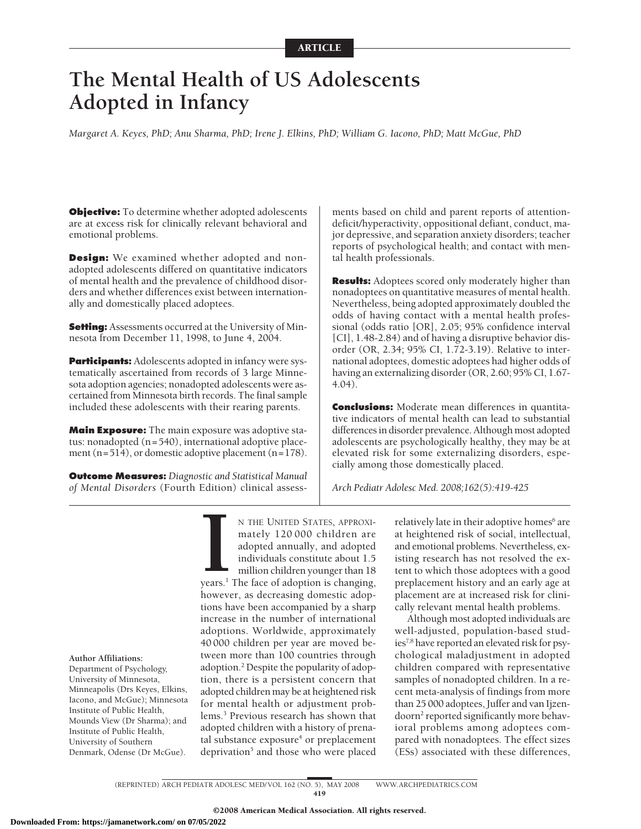# **The Mental Health of US Adolescents Adopted in Infancy**

*Margaret A. Keyes, PhD; Anu Sharma, PhD; Irene J. Elkins, PhD; William G. Iacono, PhD; Matt McGue, PhD*

**Objective:** To determine whether adopted adolescents are at excess risk for clinically relevant behavioral and emotional problems.

**Design:** We examined whether adopted and nonadopted adolescents differed on quantitative indicators of mental health and the prevalence of childhood disorders and whether differences exist between internationally and domestically placed adoptees.

**Setting:** Assessments occurred at the University of Minnesota from December 11, 1998, to June 4, 2004.

**Participants:** Adolescents adopted in infancy were systematically ascertained from records of 3 large Minnesota adoption agencies; nonadopted adolescents were ascertained from Minnesota birth records. The final sample included these adolescents with their rearing parents.

**Main Exposure:** The main exposure was adoptive status: nonadopted  $(n=540)$ , international adoptive placement  $(n=514)$ , or domestic adoptive placement  $(n=178)$ .

**Outcome Measures:** *Diagnostic and Statistical Manual of Mental Disorders* (Fourth Edition) clinical assess-

ments based on child and parent reports of attentiondeficit/hyperactivity, oppositional defiant, conduct, major depressive, and separation anxiety disorders; teacher reports of psychological health; and contact with mental health professionals.

**Results:** Adoptees scored only moderately higher than nonadoptees on quantitative measures of mental health. Nevertheless, being adopted approximately doubled the odds of having contact with a mental health professional (odds ratio [OR], 2.05; 95% confidence interval [CI], 1.48-2.84) and of having a disruptive behavior disorder (OR, 2.34; 95% CI, 1.72-3.19). Relative to international adoptees, domestic adoptees had higher odds of having an externalizing disorder (OR, 2.60; 95% CI, 1.67- 4.04).

**Conclusions:** Moderate mean differences in quantitative indicators of mental health can lead to substantial differences in disorder prevalence. Although most adopted adolescents are psychologically healthy, they may be at elevated risk for some externalizing disorders, especially among those domestically placed.

*Arch Pediatr Adolesc Med. 2008;162(5):419-425*

**Author Affiliations:**

Department of Psychology, University of Minnesota, Minneapolis (Drs Keyes, Elkins, Iacono, and McGue); Minnesota Institute of Public Health, Mounds View (Dr Sharma); and Institute of Public Health, University of Southern Denmark, Odense (Dr McGue).

N THE UNITED STATES, APPROXI-<br>mately 120 000 children are<br>adopted annually, and adopted<br>individuals constitute about 1.5<br>million children younger than 18<br>years.<sup>1</sup> The face of adoption is changing,<br>however, as decreasing d N THE UNITED STATES, APPROXImately 120 000 children are adopted annually, and adopted individuals constitute about 1.5 million children younger than 18 however, as decreasing domestic adoptions have been accompanied by a sharp increase in the number of international adoptions. Worldwide, approximately 40 000 children per year are moved between more than 100 countries through adoption.<sup>2</sup> Despite the popularity of adoption, there is a persistent concern that adopted children may be at heightened risk for mental health or adjustment problems.3 Previous research has shown that adopted children with a history of prenatal substance exposure<sup>4</sup> or preplacement deprivation<sup>5</sup> and those who were placed

relatively late in their adoptive homes<sup>6</sup> are at heightened risk of social, intellectual, and emotional problems. Nevertheless, existing research has not resolved the extent to which those adoptees with a good preplacement history and an early age at placement are at increased risk for clinically relevant mental health problems.

Although most adopted individuals are well-adjusted, population-based studies7,8 have reported an elevated risk for psychological maladjustment in adopted children compared with representative samples of nonadopted children. In a recent meta-analysis of findings from more than 25 000 adoptees, Juffer and van Ijzendoorn2 reported significantly more behavioral problems among adoptees compared with nonadoptees. The effect sizes (ESs) associated with these differences,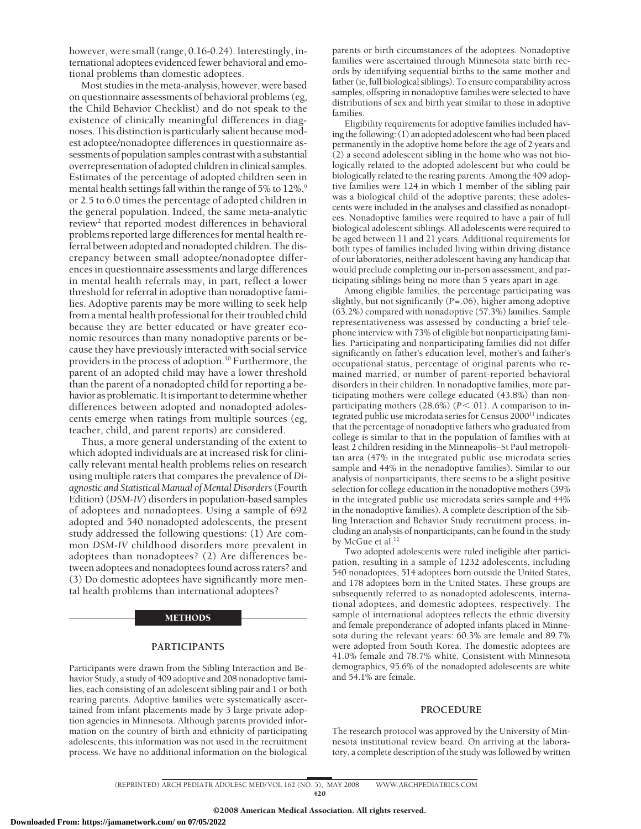however, were small (range, 0.16-0.24). Interestingly, international adoptees evidenced fewer behavioral and emotional problems than domestic adoptees.

Most studies in the meta-analysis, however, were based on questionnaire assessments of behavioral problems (eg, the Child Behavior Checklist) and do not speak to the existence of clinically meaningful differences in diagnoses. This distinction is particularly salient because modest adoptee/nonadoptee differences in questionnaire assessments of population samples contrast with a substantial overrepresentation of adopted childrenin clinical samples. Estimates of the percentage of adopted children seen in mental health settings fall within the range of 5% to  $12\%$ ,<sup>9</sup> or 2.5 to 6.0 times the percentage of adopted children in the general population. Indeed, the same meta-analytic review<sup>2</sup> that reported modest differences in behavioral problems reported large differences for mental health referral between adopted and nonadopted children. The discrepancy between small adoptee/nonadoptee differences in questionnaire assessments and large differences in mental health referrals may, in part, reflect a lower threshold for referral in adoptive than nonadoptive families. Adoptive parents may be more willing to seek help from a mental health professional for their troubled child because they are better educated or have greater economic resources than many nonadoptive parents or because they have previously interacted with social service providers in the process of adoption.<sup>10</sup> Furthermore, the parent of an adopted child may have a lower threshold than the parent of a nonadopted child for reporting a behavior as problematic. It is important to determine whether differences between adopted and nonadopted adolescents emerge when ratings from multiple sources (eg, teacher, child, and parent reports) are considered.

Thus, a more general understanding of the extent to which adopted individuals are at increased risk for clinically relevant mental health problems relies on research using multiple raters that compares the prevalence of *Diagnostic and Statistical Manual of Mental Disorders*(Fourth Edition) (*DSM-IV*) disorders in population-based samples of adoptees and nonadoptees. Using a sample of 692 adopted and 540 nonadopted adolescents, the present study addressed the following questions: (1) Are common *DSM-IV* childhood disorders more prevalent in adoptees than nonadoptees? (2) Are differences between adoptees and nonadoptees found across raters? and (3) Do domestic adoptees have significantly more mental health problems than international adoptees?

#### METHODS

## **PARTICIPANTS**

Participants were drawn from the Sibling Interaction and Behavior Study, a study of 409 adoptive and 208 nonadoptive families, each consisting of an adolescent sibling pair and 1 or both rearing parents. Adoptive families were systematically ascertained from infant placements made by 3 large private adoption agencies in Minnesota. Although parents provided information on the country of birth and ethnicity of participating adolescents, this information was not used in the recruitment process. We have no additional information on the biological

parents or birth circumstances of the adoptees. Nonadoptive families were ascertained through Minnesota state birth records by identifying sequential births to the same mother and father (ie, full biological siblings). To ensure comparability across samples, offspring in nonadoptive families were selected to have distributions of sex and birth year similar to those in adoptive families.

Eligibility requirements for adoptive families included having the following: (1) an adopted adolescent who had been placed permanently in the adoptive home before the age of 2 years and (2) a second adolescent sibling in the home who was not biologically related to the adopted adolescent but who could be biologically related to the rearing parents. Among the 409 adoptive families were 124 in which 1 member of the sibling pair was a biological child of the adoptive parents; these adolescents were included in the analyses and classified as nonadoptees. Nonadoptive families were required to have a pair of full biological adolescent siblings. All adolescents were required to be aged between 11 and 21 years. Additional requirements for both types of families included living within driving distance of our laboratories, neither adolescent having any handicap that would preclude completing our in-person assessment, and participating siblings being no more than 5 years apart in age.

Among eligible families, the percentage participating was slightly, but not significantly (*P*=.06), higher among adoptive (63.2%) compared with nonadoptive (57.3%) families. Sample representativeness was assessed by conducting a brief telephone interview with 73% of eligible but nonparticipating families. Participating and nonparticipating families did not differ significantly on father's education level, mother's and father's occupational status, percentage of original parents who remained married, or number of parent-reported behavioral disorders in their children. In nonadoptive families, more participating mothers were college educated (43.8%) than nonparticipating mothers  $(28.6\%)$   $(P<.01)$ . A comparison to integrated public use microdata series for Census 2000<sup>11</sup> indicates that the percentage of nonadoptive fathers who graduated from college is similar to that in the population of families with at least 2 children residing in the Minneapolis–St Paul metropolitan area (47% in the integrated public use microdata series sample and 44% in the nonadoptive families). Similar to our analysis of nonparticipants, there seems to be a slight positive selection for college education in the nonadoptive mothers (39% in the integrated public use microdata series sample and 44% in the nonadoptive families). A complete description of the Sibling Interaction and Behavior Study recruitment process, including an analysis of nonparticipants, can be found in the study by McGue et al.<sup>12</sup>

Two adopted adolescents were ruled ineligible after participation, resulting in a sample of 1232 adolescents, including 540 nonadoptees, 514 adoptees born outside the United States, and 178 adoptees born in the United States. These groups are subsequently referred to as nonadopted adolescents, international adoptees, and domestic adoptees, respectively. The sample of international adoptees reflects the ethnic diversity and female preponderance of adopted infants placed in Minnesota during the relevant years: 60.3% are female and 89.7% were adopted from South Korea. The domestic adoptees are 41.0% female and 78.7% white. Consistent with Minnesota demographics, 95.6% of the nonadopted adolescents are white and 54.1% are female.

#### **PROCEDURE**

The research protocol was approved by the University of Minnesota institutional review board. On arriving at the laboratory, a complete description of the study was followed by written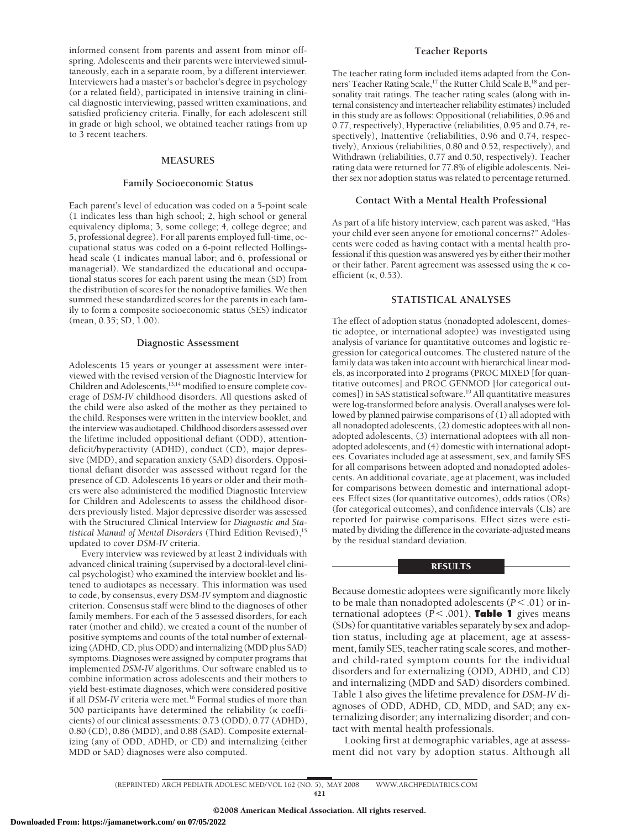informed consent from parents and assent from minor offspring. Adolescents and their parents were interviewed simultaneously, each in a separate room, by a different interviewer. Interviewers had a master's or bachelor's degree in psychology (or a related field), participated in intensive training in clinical diagnostic interviewing, passed written examinations, and satisfied proficiency criteria. Finally, for each adolescent still in grade or high school, we obtained teacher ratings from up to 3 recent teachers.

#### **MEASURES**

#### **Family Socioeconomic Status**

Each parent's level of education was coded on a 5-point scale (1 indicates less than high school; 2, high school or general equivalency diploma; 3, some college; 4, college degree; and 5, professional degree). For all parents employed full-time, occupational status was coded on a 6-point reflected Hollingshead scale (1 indicates manual labor; and 6, professional or managerial). We standardized the educational and occupational status scores for each parent using the mean (SD) from the distribution of scores for the nonadoptive families. We then summed these standardized scores for the parents in each family to form a composite socioeconomic status (SES) indicator (mean, 0.35; SD, 1.00).

#### **Diagnostic Assessment**

Adolescents 15 years or younger at assessment were interviewed with the revised version of the Diagnostic Interview for Children and Adolescents,<sup>13,14</sup> modified to ensure complete coverage of *DSM-IV* childhood disorders. All questions asked of the child were also asked of the mother as they pertained to the child. Responses were written in the interview booklet, and the interview was audiotaped. Childhood disorders assessed over the lifetime included oppositional defiant (ODD), attentiondeficit/hyperactivity (ADHD), conduct (CD), major depressive (MDD), and separation anxiety (SAD) disorders. Oppositional defiant disorder was assessed without regard for the presence of CD. Adolescents 16 years or older and their mothers were also administered the modified Diagnostic Interview for Children and Adolescents to assess the childhood disorders previously listed. Major depressive disorder was assessed with the Structured Clinical Interview for *Diagnostic and Statistical Manual of Mental Disorders* (Third Edition Revised),<sup>15</sup> updated to cover *DSM-IV* criteria.

Every interview was reviewed by at least 2 individuals with advanced clinical training (supervised by a doctoral-level clinical psychologist) who examined the interview booklet and listened to audiotapes as necessary. This information was used to code, by consensus, every *DSM-IV* symptom and diagnostic criterion. Consensus staff were blind to the diagnoses of other family members. For each of the 5 assessed disorders, for each rater (mother and child), we created a count of the number of positive symptoms and counts of the total number of externalizing (ADHD, CD, plus ODD) and internalizing (MDD plus SAD) symptoms. Diagnoses were assigned by computer programs that implemented *DSM-IV* algorithms. Our software enabled us to combine information across adolescents and their mothers to yield best-estimate diagnoses, which were considered positive if all *DSM-IV* criteria were met.<sup>16</sup> Formal studies of more than 500 participants have determined the reliability ( $\kappa$  coefficients) of our clinical assessments: 0.73 (ODD), 0.77 (ADHD), 0.80 (CD), 0.86 (MDD), and 0.88 (SAD). Composite externalizing (any of ODD, ADHD, or CD) and internalizing (either MDD or SAD) diagnoses were also computed.

#### **Teacher Reports**

The teacher rating form included items adapted from the Conners' Teacher Rating Scale,<sup>17</sup> the Rutter Child Scale B,<sup>18</sup> and personality trait ratings. The teacher rating scales (along with internal consistency and interteacher reliability estimates) included in this study are as follows: Oppositional (reliabilities, 0.96 and 0.77, respectively), Hyperactive (reliabilities, 0.95 and 0.74, respectively), Inattentive (reliabilities, 0.96 and 0.74, respectively), Anxious (reliabilities, 0.80 and 0.52, respectively), and Withdrawn (reliabilities, 0.77 and 0.50, respectively). Teacher rating data were returned for 77.8% of eligible adolescents. Neither sex nor adoption status was related to percentage returned.

## **Contact With a Mental Health Professional**

As part of a life history interview, each parent was asked, "Has your child ever seen anyone for emotional concerns?" Adolescents were coded as having contact with a mental health professional if this question was answered yes by either their mother or their father. Parent agreement was assessed using the  $\kappa$  coefficient ( $\kappa$ , 0.53).

## **STATISTICAL ANALYSES**

The effect of adoption status (nonadopted adolescent, domestic adoptee, or international adoptee) was investigated using analysis of variance for quantitative outcomes and logistic regression for categorical outcomes. The clustered nature of the family data was taken into account with hierarchical linear models, as incorporated into 2 programs (PROC MIXED [for quantitative outcomes] and PROC GENMOD [for categorical outcomes]) in SAS statistical software.<sup>19</sup> All quantitative measures were log-transformed before analysis. Overall analyses were followed by planned pairwise comparisons of (1) all adopted with all nonadopted adolescents, (2) domestic adoptees with all nonadopted adolescents, (3) international adoptees with all nonadopted adolescents, and (4) domestic with international adoptees. Covariates included age at assessment, sex, and family SES for all comparisons between adopted and nonadopted adolescents. An additional covariate, age at placement, was included for comparisons between domestic and international adoptees. Effect sizes (for quantitative outcomes), odds ratios (ORs) (for categorical outcomes), and confidence intervals (CIs) are reported for pairwise comparisons. Effect sizes were estimated by dividing the difference in the covariate-adjusted means by the residual standard deviation.

## **RESULTS**

Because domestic adoptees were significantly more likely to be male than nonadopted adolescents ( $P$ <.01) or international adoptees  $(P < .001)$ , **Table 1** gives means (SDs) for quantitative variables separately by sex and adoption status, including age at placement, age at assessment, family SES, teacher rating scale scores, and motherand child-rated symptom counts for the individual disorders and for externalizing (ODD, ADHD, and CD) and internalizing (MDD and SAD) disorders combined. Table 1 also gives the lifetime prevalence for *DSM-IV* diagnoses of ODD, ADHD, CD, MDD, and SAD; any externalizing disorder; any internalizing disorder; and contact with mental health professionals.

Looking first at demographic variables, age at assessment did not vary by adoption status. Although all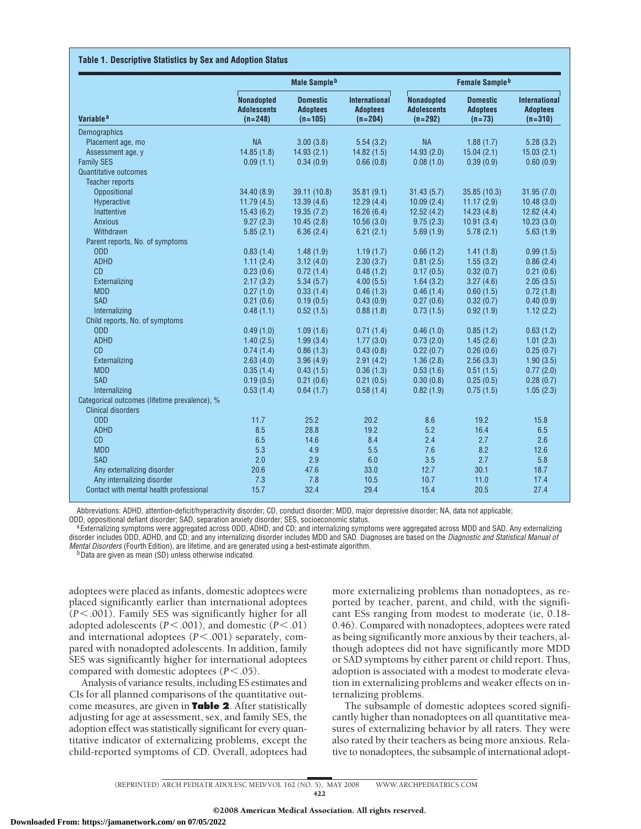#### **Table 1. Descriptive Statistics by Sex and Adoption Status**

|                                               | Male Sample <sup>b</sup>                      |                                                 |                                                      | <b>Female Sample<sup>b</sup></b>              |                                                |                                                      |
|-----------------------------------------------|-----------------------------------------------|-------------------------------------------------|------------------------------------------------------|-----------------------------------------------|------------------------------------------------|------------------------------------------------------|
| Variable <sup>a</sup>                         | Nonadopted<br><b>Adolescents</b><br>$(n=248)$ | <b>Domestic</b><br><b>Adoptees</b><br>$(n=105)$ | <b>International</b><br><b>Adoptees</b><br>$(n=204)$ | Nonadopted<br><b>Adolescents</b><br>$(n=292)$ | <b>Domestic</b><br><b>Adoptees</b><br>$(n=73)$ | <b>International</b><br><b>Adoptees</b><br>$(n=310)$ |
| <b>Demographics</b>                           |                                               |                                                 |                                                      |                                               |                                                |                                                      |
| Placement age, mo                             | <b>NA</b>                                     | 3.00(3.8)                                       | 5.54(3.2)                                            | <b>NA</b>                                     | 1.88(1.7)                                      | 5.28(3.2)                                            |
| Assessment age, y                             | 14.85(1.8)                                    | 14.93(2.1)                                      | 14.82(1.5)                                           | 14.93(2.0)                                    | 15.04(2.1)                                     | 15.03(2.1)                                           |
| <b>Family SES</b>                             | 0.09(1.1)                                     | 0.34(0.9)                                       | 0.66(0.8)                                            | 0.08(1.0)                                     | 0.39(0.9)                                      | 0.60(0.9)                                            |
| Quantitative outcomes                         |                                               |                                                 |                                                      |                                               |                                                |                                                      |
| <b>Teacher reports</b>                        |                                               |                                                 |                                                      |                                               |                                                |                                                      |
| Oppositional                                  | 34.40 (8.9)                                   | 39.11 (10.8)                                    | 35.81(9.1)                                           | 31.43(5.7)                                    | 35.85 (10.3)                                   | 31.95(7.0)                                           |
| Hyperactive                                   | 11.79(4.5)                                    | 13.39(4.6)                                      | 12.29(4.4)                                           | 10.09(2.4)                                    | 11.17(2.9)                                     | 10.48(3.0)                                           |
| Inattentive                                   | 15.43(6.2)                                    | 19.35(7.2)                                      | 16.26(6.4)                                           | 12.52(4.2)                                    | 14.23(4.8)                                     | 12.62(4.4)                                           |
| <b>Anxious</b>                                | 9.27(2.3)                                     | 10.45(2.8)                                      | 10.56(3.0)                                           | 9.75(2.3)                                     | 10.91(3.4)                                     | 10.23(3.0)                                           |
| Withdrawn                                     | 5.85(2.1)                                     | 6.36(2.4)                                       | 6.21(2.1)                                            | 5.69(1.9)                                     | 5.78(2.1)                                      | 5.63(1.9)                                            |
| Parent reports, No. of symptoms               |                                               |                                                 |                                                      |                                               |                                                |                                                      |
| <b>ODD</b>                                    | 0.83(1.4)                                     | 1.48(1.9)                                       | 1.19(1.7)                                            | 0.66(1.2)                                     | 1.41(1.8)                                      | 0.99(1.5)                                            |
| <b>ADHD</b>                                   | 1.11(2.4)                                     | 3.12(4.0)                                       | 2.30(3.7)                                            | 0.81(2.5)                                     | 1.55(3.2)                                      | 0.86(2.4)                                            |
| <b>CD</b>                                     | 0.23(0.6)                                     | 0.72(1.4)                                       | 0.48(1.2)                                            | 0.17(0.5)                                     | 0.32(0.7)                                      | 0.21(0.6)                                            |
| Externalizing                                 | 2.17(3.2)                                     | 5.34(5.7)                                       | 4.00(5.5)                                            | 1.64(3.2)                                     | 3.27(4.6)                                      | 2.05(3.5)                                            |
| <b>MDD</b>                                    | 0.27(1.0)                                     | 0.33(1.4)                                       | 0.46(1.3)                                            | 0.46(1.4)                                     | 0.60(1.5)                                      | 0.72(1.8)                                            |
| <b>SAD</b>                                    | 0.21(0.6)                                     | 0.19(0.5)                                       | 0.43(0.9)                                            | 0.27(0.6)                                     | 0.32(0.7)                                      | 0.40(0.9)                                            |
| Internalizing                                 | 0.48(1.1)                                     | 0.52(1.5)                                       | 0.88(1.8)                                            | 0.73(1.5)                                     | 0.92(1.9)                                      | 1.12(2.2)                                            |
| Child reports, No. of symptoms                |                                               |                                                 |                                                      |                                               |                                                |                                                      |
| <b>ODD</b>                                    | 0.49(1.0)                                     | 1.09(1.6)                                       | 0.71(1.4)                                            | 0.46(1.0)                                     | 0.85(1.2)                                      | 0.63(1.2)                                            |
| <b>ADHD</b>                                   | 1.40(2.5)                                     | 1.99(3.4)                                       | 1.77(3.0)                                            | 0.73(2.0)                                     | 1.45(2.6)                                      | 1.01(2.3)                                            |
| CD                                            | 0.74(1.4)                                     | 0.86(1.3)                                       | 0.43(0.8)                                            | 0.22(0.7)                                     | 0.26(0.6)                                      | 0.25(0.7)                                            |
| Externalizing                                 | 2.63(4.0)                                     | 3.96(4.9)                                       | 2.91(4.2)                                            | 1.36(2.8)                                     | 2.56(3.3)                                      | 1.90(3.5)                                            |
| <b>MDD</b>                                    | 0.35(1.4)                                     | 0.43(1.5)                                       | 0.36(1.3)                                            | 0.53(1.6)                                     | 0.51(1.5)                                      | 0.77(2.0)                                            |
| <b>SAD</b>                                    | 0.19(0.5)                                     | 0.21(0.6)                                       | 0.21(0.5)                                            | 0.30(0.8)                                     | 0.25(0.5)                                      | 0.28(0.7)                                            |
| Internalizing                                 | 0.53(1.4)                                     | 0.64(1.7)                                       | 0.58(1.4)                                            | 0.82(1.9)                                     | 0.75(1.5)                                      | 1.05(2.3)                                            |
| Categorical outcomes (lifetime prevalence), % |                                               |                                                 |                                                      |                                               |                                                |                                                      |
| <b>Clinical disorders</b>                     |                                               |                                                 |                                                      |                                               |                                                |                                                      |
| <b>ODD</b>                                    | 11.7                                          | 25.2                                            | 20.2                                                 | 8.6                                           | 19.2                                           | 15.8                                                 |
| <b>ADHD</b>                                   | 8.5                                           | 28.8                                            | 19.2                                                 | 5.2                                           | 16.4                                           | 6.5                                                  |
| <b>CD</b>                                     | 6.5                                           | 14.6                                            | 8.4                                                  | 2.4                                           | 2.7                                            | 2.6                                                  |
| <b>MDD</b>                                    | 5.3                                           | 4.9                                             | 5.5                                                  | 7.6                                           | 8.2                                            | 12.6                                                 |
| <b>SAD</b>                                    | 2.0                                           | 2.9                                             | 6.0                                                  | 3.5                                           | 2.7                                            | 5.8                                                  |
| Any externalizing disorder                    | 20.6                                          | 47.6                                            | 33.0                                                 | 12.7                                          | 30.1                                           | 18.7                                                 |
| Any internalizing disorder                    | 7.3                                           | 7.8                                             | 10.5                                                 | 10.7                                          | 11.0                                           | 17.4                                                 |
| Contact with mental health professional       | 15.7                                          | 32.4                                            | 29.4                                                 | 15.4                                          | 20.5                                           | 27.4                                                 |

Abbreviations: ADHD, attention-deficit/hyperactivity disorder; CD, conduct disorder; MDD, major depressive disorder; NA, data not applicable;

ODD, oppositional defiant disorder; SAD, separation anxiety disorder; SES, socioeconomic status.<br><sup>4</sup>Externalizing symptoms were aggregated across ODD, ADHD, and CD; and internalizing symptoms were aggregated across MDD and disorder includes ODD, ADHD, and CD; and any internalizing disorder includes MDD and SAD. Diagnoses are based on the *Diagnostic and Statistical Manual of Mental Disorders* (Fourth Edition), are lifetime, and are generated using a best-estimate algorithm.<br><sup>b</sup>Data are given as mean (SD) unless otherwise indicated.

adoptees were placed as infants, domestic adoptees were placed significantly earlier than international adoptees (*P*.001). Family SES was significantly higher for all adopted adolescents  $(P < .001)$ , and domestic  $(P < .01)$ and international adoptees  $(P < .001)$  separately, compared with nonadopted adolescents. In addition, family SES was significantly higher for international adoptees compared with domestic adoptees  $(P < .05)$ .

Analysis of variance results, including ES estimates and CIs for all planned comparisons of the quantitative outcome measures, are given in **Table 2**. After statistically adjusting for age at assessment, sex, and family SES, the adoption effect was statistically significant for every quantitative indicator of externalizing problems, except the child-reported symptoms of CD. Overall, adoptees had

more externalizing problems than nonadoptees, as reported by teacher, parent, and child, with the significant ESs ranging from modest to moderate (ie, 0.18- 0.46). Compared with nonadoptees, adoptees were rated as being significantly more anxious by their teachers, although adoptees did not have significantly more MDD or SAD symptoms by either parent or child report. Thus, adoption is associated with a modest to moderate elevation in externalizing problems and weaker effects on internalizing problems.

The subsample of domestic adoptees scored significantly higher than nonadoptees on all quantitative measures of externalizing behavior by all raters. They were also rated by their teachers as being more anxious. Relative to nonadoptees, the subsample of international adopt-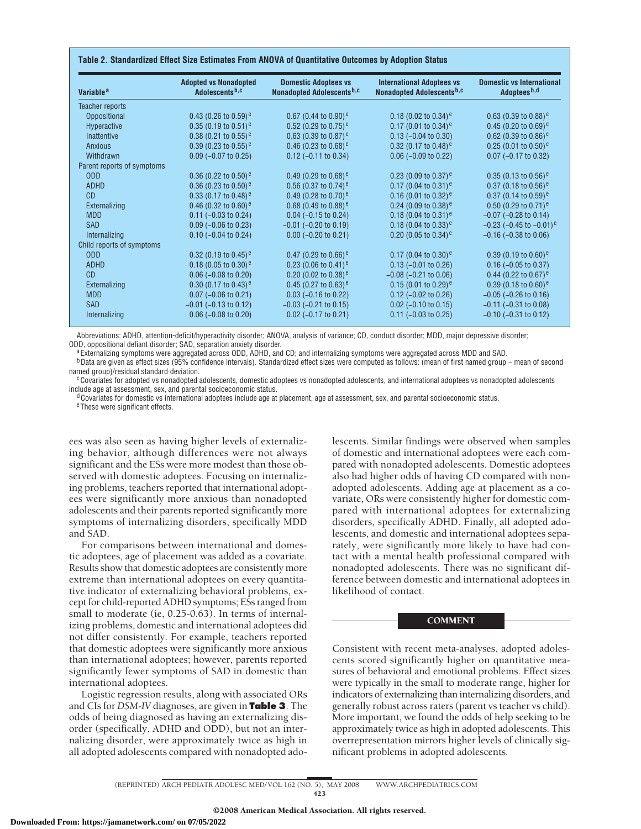| Variable <sup>a</sup>      | <b>Adopted vs Nonadopted</b><br>Adolescents b,c | <b>Domestic Adoptees vs</b><br>Nonadopted Adolescents <sup>b,c</sup> | <b>International Adoptees vs</b><br>Nonadopted Adolescents <sup>b,c</sup> | <b>Domestic vs International</b><br>Adoptees <sup>b,d</sup> |
|----------------------------|-------------------------------------------------|----------------------------------------------------------------------|---------------------------------------------------------------------------|-------------------------------------------------------------|
| <b>Teacher reports</b>     |                                                 |                                                                      |                                                                           |                                                             |
| Oppositional               | 0.43 (0.26 to 0.59) <sup>e</sup>                | $0.67$ (0.44 to $0.90$ ) <sup>e</sup>                                | 0.18 (0.02 to 0.34) <sup>e</sup>                                          | 0.63 (0.39 to 0.88) <sup>e</sup>                            |
| Hyperactive                | $0.35$ (0.19 to $0.51$ ) <sup>e</sup>           | $0.52$ (0.29 to 0.75) <sup>e</sup>                                   | $0.17$ (0.01 to 0.34) <sup>e</sup>                                        | 0.45 (0.20 to $0.69$ ) <sup>e</sup>                         |
| Inattentive                | 0.38 (0.21 to $0.55$ ) <sup>e</sup>             | 0.63 (0.39 to $0.87$ ) <sup>e</sup>                                  | $0.13$ (-0.04 to 0.30)                                                    | 0.62 (0.39 to 0.86) <sup>e</sup>                            |
| <b>Anxious</b>             | 0.39 (0.23 to $0.55$ ) <sup>e</sup>             | 0.46 (0.23 to 0.68) <sup>e</sup>                                     | 0.32 (0.17 to 0.48) <sup>e</sup>                                          | $0.25$ (0.01 to $0.50$ ) <sup>e</sup>                       |
| Withdrawn                  | $0.09$ (-0.07 to 0.25)                          | $0.12$ (-0.11 to 0.34)                                               | $0.06$ (-0.09 to 0.22)                                                    | $0.07$ (-0.17 to 0.32)                                      |
| Parent reports of symptoms |                                                 |                                                                      |                                                                           |                                                             |
| <b>ODD</b>                 | 0.36 (0.22 to 0.50) <sup>e</sup>                | 0.49 (0.29 to 0.68) <sup>e</sup>                                     | 0.23 (0.09 to 0.37) <sup>e</sup>                                          | $0.35$ (0.13 to $0.56$ ) <sup>e</sup>                       |
| <b>ADHD</b>                | 0.36 (0.23 to $0.50$ ) <sup>e</sup>             | 0.56 (0.37 to 0.74) <sup>e</sup>                                     | $0.17$ (0.04 to 0.31) <sup>e</sup>                                        | $0.37$ (0.18 to $0.56$ ) <sup>e</sup>                       |
| CD                         | 0.33 (0.17 to $0.48$ ) <sup>e</sup>             | 0.49 (0.28 to 0.70) <sup>e</sup>                                     | $0.16$ (0.01 to 0.32) <sup>e</sup>                                        | $0.37$ (0.14 to $0.59$ ) <sup>e</sup>                       |
| Externalizing              | 0.46 (0.32 to $0.60$ ) <sup>e</sup>             | 0.68 (0.49 to 0.88) <sup>e</sup>                                     | 0.24 (0.09 to 0.38) <sup>e</sup>                                          | 0.50 (0.29 to 0.71) <sup>e</sup>                            |
| <b>MDD</b>                 | $0.11 (-0.03 to 0.24)$                          | $0.04$ (-0.15 to 0.24)                                               | $0.18$ (0.04 to 0.31) <sup>e</sup>                                        | $-0.07$ ( $-0.28$ to 0.14)                                  |
| <b>SAD</b>                 | $0.09$ (-0.06 to 0.23)                          | $-0.01$ ( $-0.20$ to 0.19)                                           | $0.18$ (0.04 to 0.33) <sup>e</sup>                                        | $-0.23$ (-0.45 to $-0.01$ ) <sup>e</sup>                    |
| Internalizing              | $0.10$ (-0.04 to 0.24)                          | $0.00$ (-0.20 to 0.21)                                               | 0.20 (0.05 to 0.34) <sup>e</sup>                                          | $-0.16$ ( $-0.38$ to 0.06)                                  |
| Child reports of symptoms  |                                                 |                                                                      |                                                                           |                                                             |
| <b>ODD</b>                 | 0.32 (0.19 to $0.45$ ) <sup>e</sup>             | 0.47 (0.29 to 0.66) <sup>e</sup>                                     | $0.17$ (0.04 to 0.30) <sup>e</sup>                                        | $0.39(0.19 \text{ to } 0.60)^e$                             |
| <b>ADHD</b>                | $0.18$ (0.05 to 0.30) <sup>e</sup>              | 0.23 (0.06 to $0.41$ ) <sup>e</sup>                                  | $0.13$ (-0.01 to 0.26)                                                    | $0.16$ (-0.05 to 0.37)                                      |
| CD                         | $0.06$ (-0.08 to 0.20)                          | 0.20 (0.02 to 0.38) <sup>e</sup>                                     | $-0.08$ ( $-0.21$ to $0.06$ )                                             | 0.44 (0.22 to $0.67$ ) <sup>e</sup>                         |
| Externalizing              | 0.30 (0.17 to $0.43$ ) <sup>e</sup>             | 0.45 (0.27 to 0.63) <sup>e</sup>                                     | $0.15(0.01)$ to $0.29)$ <sup>e</sup>                                      | $0.39(0.18 \text{ to } 0.60)^e$                             |
| <b>MDD</b>                 | $0.07$ (-0.06 to 0.21)                          | $0.03$ (-0.16 to 0.22)                                               | $0.12$ (-0.02 to 0.26)                                                    | $-0.05$ ( $-0.26$ to 0.16)                                  |
| <b>SAD</b>                 | $-0.01$ ( $-0.13$ to 0.12)                      | $-0.03$ ( $-0.21$ to 0.15)                                           | $0.02$ (-0.10 to 0.15)                                                    | $-0.11$ ( $-0.31$ to $0.08$ )                               |
| Internalizing              | $0.06$ (-0.08 to 0.20)                          | $0.02$ (-0.17 to 0.21)                                               | $0.11$ (-0.03 to 0.25)                                                    | $-0.10$ ( $-0.31$ to 0.12)                                  |

Abbreviations: ADHD, attention-deficit/hyperactivity disorder; ANOVA, analysis of variance; CD, conduct disorder; MDD, major depressive disorder;

<sup>a</sup> Externalizing symptoms were aggregated across ODD, ADHD, and CD; and internalizing symptoms were aggregated across MDD and SAD.

bData are given as effect sizes (95% confidence intervals). Standardized effect sizes were computed as follows: (mean of first named group − mean of second

named group)/residual standard deviation.<br><sup>c</sup>Covariates for adopted vs nonadopted adolescents, domestic adoptees vs nonadopted adolescents, and international adoptees vs nonadopted adolescents include age at assessment, sex, and parental socioeconomic status.<br><sup>d</sup>Covariates for domestic vs international adoptees include age at placement, age at assessment, sex, and parental socioeconomic status.

eThese were significant effects.

ees was also seen as having higher levels of externalizing behavior, although differences were not always significant and the ESs were more modest than those observed with domestic adoptees. Focusing on internalizing problems, teachers reported that international adoptees were significantly more anxious than nonadopted adolescents and their parents reported significantly more symptoms of internalizing disorders, specifically MDD and SAD.

For comparisons between international and domestic adoptees, age of placement was added as a covariate. Results show that domestic adoptees are consistently more extreme than international adoptees on every quantitative indicator of externalizing behavioral problems, except for child-reported ADHD symptoms; ESs ranged from small to moderate (ie, 0.25-0.63). In terms of internalizing problems, domestic and international adoptees did not differ consistently. For example, teachers reported that domestic adoptees were significantly more anxious than international adoptees; however, parents reported significantly fewer symptoms of SAD in domestic than international adoptees.

Logistic regression results, along with associated ORs and CIs for *DSM-IV* diagnoses, are given in **Table 3**. The odds of being diagnosed as having an externalizing disorder (specifically, ADHD and ODD), but not an internalizing disorder, were approximately twice as high in all adopted adolescents compared with nonadopted ado-

lescents. Similar findings were observed when samples of domestic and international adoptees were each compared with nonadopted adolescents. Domestic adoptees also had higher odds of having CD compared with nonadopted adolescents. Adding age at placement as a covariate, ORs were consistently higher for domestic compared with international adoptees for externalizing disorders, specifically ADHD. Finally, all adopted adolescents, and domestic and international adoptees separately, were significantly more likely to have had contact with a mental health professional compared with nonadopted adolescents. There was no significant difference between domestic and international adoptees in likelihood of contact.

## **COMMENT**

Consistent with recent meta-analyses, adopted adolescents scored significantly higher on quantitative measures of behavioral and emotional problems. Effect sizes were typically in the small to moderate range, higher for indicators of externalizing than internalizing disorders, and generally robust across raters (parent vs teacher vs child). More important, we found the odds of help seeking to be approximately twice as high in adopted adolescents. This overrepresentation mirrors higher levels of clinically significant problems in adopted adolescents.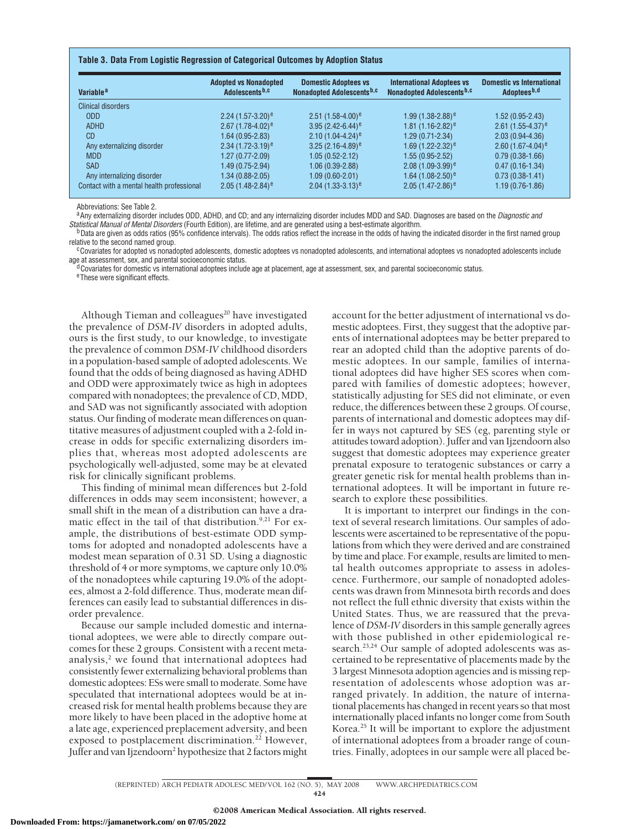| Variable <sup>a</sup>                     | <b>Adopted vs Nonadopted</b><br>Adolescents b,c | <b>Domestic Adoptees vs</b><br>Nonadopted Adolescents <sup>b,c</sup> | <b>International Adoptees vs</b><br>Nonadopted Adolescents <sup>b,c</sup> | <b>Domestic vs International</b><br>Adoptees <sup>b,d</sup> |  |
|-------------------------------------------|-------------------------------------------------|----------------------------------------------------------------------|---------------------------------------------------------------------------|-------------------------------------------------------------|--|
| Clinical disorders                        |                                                 |                                                                      |                                                                           |                                                             |  |
| <b>ODD</b>                                | $2.24(1.57-3.20)^e$                             | $2.51(1.58-4.00)^e$                                                  | $1.99(1.38-2.88)^e$                                                       | $1.52(0.95 - 2.43)$                                         |  |
| <b>ADHD</b>                               | $2.67(1.78-4.02)^e$                             | 3.95 $(2.42 - 6.44)^e$                                               | $1.81(1.16-2.82)^e$                                                       | $2.61(1.55-4.37)^e$                                         |  |
| CD                                        | $1.64(0.95-2.83)$                               | $2.10(1.04-4.24)^e$                                                  | $1.29(0.71 - 2.34)$                                                       | $2.03(0.94 - 4.36)$                                         |  |
| Any externalizing disorder                | $2.34(1.72-3.19)^e$                             | $3.25(2.16-4.89)^e$                                                  | $1.69(1.22 - 2.32)^e$                                                     | $2.60(1.67-4.04)^e$                                         |  |
| <b>MDD</b>                                | $1.27(0.77-2.09)$                               | $1.05(0.52 - 2.12)$                                                  | $1.55(0.95-2.52)$                                                         | $0.79(0.38-1.66)$                                           |  |
| <b>SAD</b>                                | 1.49 (0.75-2.94)                                | $1.06(0.39-2.88)$                                                    | $2.08(1.09-3.99)^e$                                                       | $0.47(0.16-1.34)$                                           |  |
| Any internalizing disorder                | $1.34(0.88-2.05)$                               | $1.09(0.60-2.01)$                                                    | $1.64$ (1.08-2.50) <sup>e</sup>                                           | $0.73(0.38-1.41)$                                           |  |
| Contact with a mental health professional | $2.05(1.48-2.84)^e$                             | $2.04(1.33-3.13)^e$                                                  | $2.05(1.47 - 2.86)^e$                                                     | $1.19(0.76 - 1.86)$                                         |  |

Abbreviations: See Table 2.

a Any externalizing disorder includes ODD, ADHD, and CD; and any internalizing disorder includes MDD and SAD. Diagnoses are based on the *Diagnostic and* Statistical Manual of Mental Disorders (Fourth Edition), are lifetim

<sup>b</sup>Data are given as odds ratios (95% confidence intervals). The odds ratios reflect the increase in the odds of having the indicated disorder in the first named group<br>relative to the second named group.

<sup>c</sup>Covariates for adopted vs nonadopted adolescents, domestic adoptees vs nonadopted adolescents, and international adoptees vs nonadopted adolescents include age at assessment, sex, and parental socioeconomic status.<br>dCovariates for domestic vs international adoptees include age at placement, age at assessment, sex, and parental socioeconomic status.

eThese were significant effects.

Although Tieman and colleagues $20$  have investigated the prevalence of *DSM-IV* disorders in adopted adults, ours is the first study, to our knowledge, to investigate the prevalence of common *DSM-IV* childhood disorders in a population-based sample of adopted adolescents. We found that the odds of being diagnosed as having ADHD and ODD were approximately twice as high in adoptees compared with nonadoptees; the prevalence of CD, MDD, and SAD was not significantly associated with adoption status. Our finding of moderate mean differences on quantitative measures of adjustment coupled with a 2-fold increase in odds for specific externalizing disorders implies that, whereas most adopted adolescents are psychologically well-adjusted, some may be at elevated risk for clinically significant problems.

This finding of minimal mean differences but 2-fold differences in odds may seem inconsistent; however, a small shift in the mean of a distribution can have a dramatic effect in the tail of that distribution.<sup>9,21</sup> For example, the distributions of best-estimate ODD symptoms for adopted and nonadopted adolescents have a modest mean separation of 0.31 SD. Using a diagnostic threshold of 4 or more symptoms, we capture only 10.0% of the nonadoptees while capturing 19.0% of the adoptees, almost a 2-fold difference. Thus, moderate mean differences can easily lead to substantial differences in disorder prevalence.

Because our sample included domestic and international adoptees, we were able to directly compare outcomes for these 2 groups. Consistent with a recent metaanalysis, $<sup>2</sup>$  we found that international adoptees had</sup> consistently fewer externalizing behavioral problems than domestic adoptees: ESs were small to moderate. Some have speculated that international adoptees would be at increased risk for mental health problems because they are more likely to have been placed in the adoptive home at a late age, experienced preplacement adversity, and been exposed to postplacement discrimination.<sup>22</sup> However, Juffer and van Ijzendoorn<sup>2</sup> hypothesize that 2 factors might account for the better adjustment of international vs domestic adoptees. First, they suggest that the adoptive parents of international adoptees may be better prepared to rear an adopted child than the adoptive parents of domestic adoptees. In our sample, families of international adoptees did have higher SES scores when compared with families of domestic adoptees; however, statistically adjusting for SES did not eliminate, or even reduce, the differences between these 2 groups. Of course, parents of international and domestic adoptees may differ in ways not captured by SES (eg, parenting style or attitudes toward adoption). Juffer and van Ijzendoorn also suggest that domestic adoptees may experience greater prenatal exposure to teratogenic substances or carry a greater genetic risk for mental health problems than international adoptees. It will be important in future research to explore these possibilities.

It is important to interpret our findings in the context of several research limitations. Our samples of adolescents were ascertained to be representative of the populations from which they were derived and are constrained by time and place. For example, results are limited to mental health outcomes appropriate to assess in adolescence. Furthermore, our sample of nonadopted adolescents was drawn from Minnesota birth records and does not reflect the full ethnic diversity that exists within the United States. Thus, we are reassured that the prevalence of *DSM-IV* disorders in this sample generally agrees with those published in other epidemiological research.<sup>23,24</sup> Our sample of adopted adolescents was ascertained to be representative of placements made by the 3 largest Minnesota adoption agencies and is missing representation of adolescents whose adoption was arranged privately. In addition, the nature of international placements has changed in recent years so that most internationally placed infants no longer come from South Korea.<sup>25</sup> It will be important to explore the adjustment of international adoptees from a broader range of countries. Finally, adoptees in our sample were all placed be